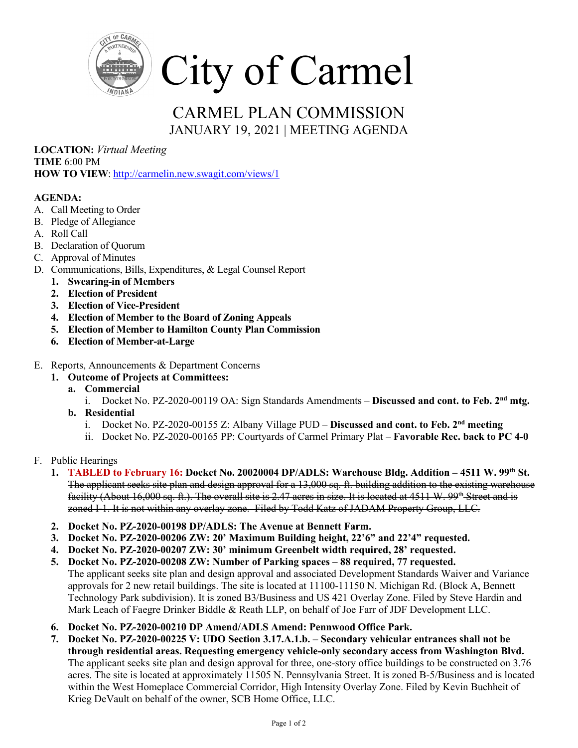

## CARMEL PLAN COMMISSION JANUARY 19, 2021 | MEETING AGENDA

**LOCATION:** *Virtual Meeting* **TIME** 6:00 PM **HOW TO VIEW**:<http://carmelin.new.swagit.com/views/1>

## **AGENDA:**

- A. Call Meeting to Order
- B. Pledge of Allegiance
- A. Roll Call
- B. Declaration of Quorum
- C. Approval of Minutes
- D. Communications, Bills, Expenditures, & Legal Counsel Report
	- **1. Swearing-in of Members**
	- **2. Election of President**
	- **3. Election of Vice-President**
	- **4. Election of Member to the Board of Zoning Appeals**
	- **5. Election of Member to Hamilton County Plan Commission**
	- **6. Election of Member-at-Large**
- E. Reports, Announcements & Department Concerns
	- **1. Outcome of Projects at Committees:**
		- **a. Commercial** 
			- i. Docket No. PZ-2020-00119 OA: Sign Standards Amendments **Discussed and cont. to Feb. 2nd mtg.**
		- **b. Residential** 
			- i. Docket No. PZ-2020-00155 Z: Albany Village PUD **Discussed and cont. to Feb. 2nd meeting**
			- ii. Docket No. PZ-2020-00165 PP: Courtyards of Carmel Primary Plat **Favorable Rec. back to PC 4-0**
- F. Public Hearings
	- **1. TABLED to February 16: Docket No. 20020004 DP/ADLS: Warehouse Bldg. Addition – 4511 W. 99th St.** The applicant seeks site plan and design approval for a 13,000 sq. ft. building addition to the existing warehouse facility (About 16,000 sq. ft.). The overall site is 2.47 acres in size. It is located at  $4511$  W.  $99^{th}$ -Street and is zoned I-1. It is not within any overlay zone. Filed by Todd Katz of JADAM Property Group, LLC.
	- **2. Docket No. PZ-2020-00198 DP/ADLS: The Avenue at Bennett Farm.**
	- **3. Docket No. PZ-2020-00206 ZW: 20' Maximum Building height, 22'6" and 22'4" requested.**
	- **4. Docket No. PZ-2020-00207 ZW: 30' minimum Greenbelt width required, 28' requested.**
	- **5. Docket No. PZ-2020-00208 ZW: Number of Parking spaces – 88 required, 77 requested.**  The applicant seeks site plan and design approval and associated Development Standards Waiver and Variance approvals for 2 new retail buildings. The site is located at 11100-11150 N. Michigan Rd. (Block A, Bennett Technology Park subdivision). It is zoned B3/Business and US 421 Overlay Zone. Filed by Steve Hardin and Mark Leach of Faegre Drinker Biddle & Reath LLP, on behalf of Joe Farr of JDF Development LLC.
	- **6. Docket No. PZ-2020-00210 DP Amend/ADLS Amend: Pennwood Office Park.**
	- **7. Docket No. PZ-2020-00225 V: UDO Section 3.17.A.1.b. – Secondary vehicular entrances shall not be through residential areas. Requesting emergency vehicle-only secondary access from Washington Blvd.**  The applicant seeks site plan and design approval for three, one-story office buildings to be constructed on 3.76 acres. The site is located at approximately 11505 N. Pennsylvania Street. It is zoned B-5/Business and is located within the West Homeplace Commercial Corridor, High Intensity Overlay Zone. Filed by Kevin Buchheit of Krieg DeVault on behalf of the owner, SCB Home Office, LLC.